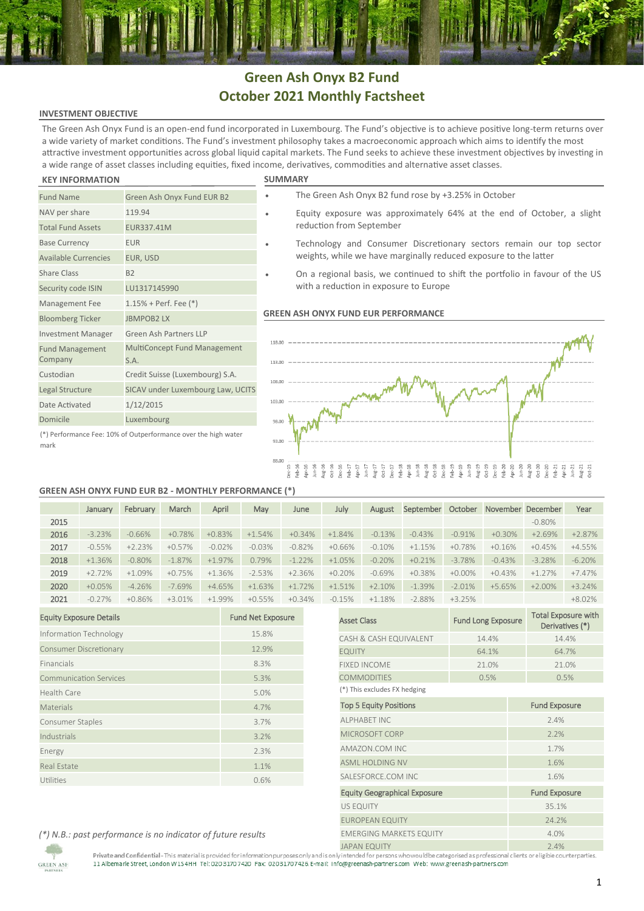## **Green Ash Onyx B2 Fund October 2021 Monthly Factsheet**

## **INVESTMENT OBJECTIVE**

The Green Ash Onyx Fund is an open-end fund incorporated in Luxembourg. The Fund's objective is to achieve positive long-term returns over a wide variety of market conditions. The Fund's investment philosophy takes a macroeconomic approach which aims to identify the most attractive investment opportunities across global liquid capital markets. The Fund seeks to achieve these investment objectives by investing in a wide range of asset classes including equities, fixed income, derivatives, commodities and alternative asset classes.

#### **KEY INFORMATION SUMMARY**

Fund Management Company

NAV per share 119.94 Total Fund Assets EUR337.41M Base Currency **EUR** Available Currencies EUR, USD Share Class B2

Security code ISIN LU1317145990 Management Fee 1.15% + Perf. Fee (\*) Bloomberg Ticker JBMPOB2 LX

Date Activated 1/12/2015 Domicile Luxembourg

Investment Manager Green Ash Partners LLP

S.A. Custodian Credit Suisse (Luxembourg) S.A. Legal Structure SICAV under Luxembourg Law, UCITS

Fund Name Green Ash Onyx Fund EUR B2

|  |  | JMMAF |  |
|--|--|-------|--|
|  |  |       |  |

|  | The Green Ash Onyx B2 fund rose by +3.25% in October |  |
|--|------------------------------------------------------|--|
|  |                                                      |  |

- Equity exposure was approximately 64% at the end of October, a slight reduction from September
- Technology and Consumer Discretionary sectors remain our top sector weights, while we have marginally reduced exposure to the latter
- On a regional basis, we continued to shift the portfolio in favour of the US with a reduction in exposure to Europe

### **GREEN ASH ONYX FUND EUR PERFORMANCE**



### (\*) Performance Fee: 10% of Outperformance over the high water mark

## **GREEN ASH ONYX FUND EUR B2 - MONTHLY PERFORMANCE (\*)**

MultiConcept Fund Management

|      | January  | February | March    | April    | May      | June     | July     | August   | September | October   |          | November December | Year     |
|------|----------|----------|----------|----------|----------|----------|----------|----------|-----------|-----------|----------|-------------------|----------|
| 2015 |          |          |          |          |          |          |          |          |           |           |          | $-0.80\%$         |          |
| 2016 | $-3.23%$ | $-0.66%$ | $+0.78%$ | $+0.83%$ | $+1.54%$ | $+0.34%$ | $+1.84%$ | $-0.13%$ | $-0.43%$  | $-0.91%$  | $+0.30%$ | $+2.69%$          | $+2.87%$ |
| 2017 | $-0.55%$ | $+2.23%$ | $+0.57%$ | $-0.02%$ | $-0.03%$ | $-0.82%$ | $+0.66%$ | $-0.10%$ | $+1.15%$  | $+0.78%$  | $+0.16%$ | $+0.45%$          | $+4.55%$ |
| 2018 | $+1.36%$ | $-0.80%$ | $-1.87%$ | $+1.97%$ | 0.79%    | $-1.22%$ | $+1.05%$ | $-0.20%$ | $+0.21%$  | $-3.78%$  | $-0.43%$ | $-3.28%$          | $-6.20%$ |
| 2019 | $+2.72%$ | $+1.09%$ | $+0.75%$ | $+1.36%$ | $-2.53%$ | $+2.36%$ | $+0.20%$ | $-0.69%$ | $+0.38%$  | $+0.00\%$ | $+0.43%$ | $+1.27%$          | $+7.47%$ |
| 2020 | $+0.05%$ | $-4.26%$ | $-7.69%$ | $+4.65%$ | $+1.63%$ | $+1.72%$ | $+1.51%$ | $+2.10%$ | $-1.39%$  | $-2.01%$  | $+5.65%$ | $+2.00\%$         | $+3.24%$ |
| 2021 | $-0.27%$ | $+0.86%$ | $+3.01%$ | $+1.99%$ | $+0.55%$ | $+0.34%$ | $-0.15%$ | $+1.18%$ | $-2.88%$  | $+3.25%$  |          |                   | $+8.02%$ |

| <b>Equity Exposure Details</b> | <b>Fund Net Exposure</b> |
|--------------------------------|--------------------------|
| Information Technology         | 15.8%                    |
| <b>Consumer Discretionary</b>  | 12.9%                    |
| Financials                     | 8.3%                     |
| <b>Communication Services</b>  | 5.3%                     |
| Health Care                    | 5.0%                     |
| Materials                      | 4.7%                     |
| Consumer Staples               | 3.7%                     |
| Industrials                    | 3.2%                     |
| Energy                         | 2.3%                     |
| <b>Real Estate</b>             | 1.1%                     |
| Utilities                      | 0.6%                     |

| 0.15%                               | $+1.18%$                       | $-2.88\%$ | $+3.25%$ |                           |                      | $+8.02%$                                      |  |  |
|-------------------------------------|--------------------------------|-----------|----------|---------------------------|----------------------|-----------------------------------------------|--|--|
| <b>Asset Class</b>                  |                                |           |          | <b>Fund Long Exposure</b> |                      | <b>Total Exposure with</b><br>Derivatives (*) |  |  |
|                                     | CASH & CASH EQUIVALENT         |           |          | 14.4%                     |                      | 14.4%                                         |  |  |
| <b>EQUITY</b>                       |                                |           |          | 64.1%                     |                      | 64.7%                                         |  |  |
|                                     | <b>FIXED INCOME</b>            |           |          | 21.0%                     |                      | 21.0%                                         |  |  |
|                                     | <b>COMMODITIES</b>             |           |          | 0.5%                      |                      | 0.5%                                          |  |  |
|                                     | (*) This excludes FX hedging   |           |          |                           |                      |                                               |  |  |
|                                     | <b>Top 5 Equity Positions</b>  |           |          |                           |                      | <b>Fund Exposure</b>                          |  |  |
|                                     | <b>ALPHABET INC</b>            |           |          |                           | 2.4%                 |                                               |  |  |
|                                     | MICROSOFT CORP                 |           |          |                           | 2.2%                 |                                               |  |  |
|                                     | AMAZON.COM INC                 |           |          |                           | 1.7%                 |                                               |  |  |
|                                     | <b>ASML HOLDING NV</b>         |           |          |                           | 1.6%                 |                                               |  |  |
|                                     | SALESFORCE.COM INC             |           |          |                           | 1.6%                 |                                               |  |  |
| <b>Equity Geographical Exposure</b> |                                |           |          |                           | <b>Fund Exposure</b> |                                               |  |  |
| <b>US EQUITY</b>                    |                                |           |          |                           | 35.1%                |                                               |  |  |
|                                     | <b>EUROPEAN EQUITY</b>         |           |          | 24.2%                     |                      |                                               |  |  |
|                                     | <b>EMERGING MARKETS EQUITY</b> |           |          |                           | 4.0%                 |                                               |  |  |
|                                     | IADAN EQUITY                   |           |          |                           | $7.19%$              |                                               |  |  |

*(\*) N.B.: past performance is no indicator of future results*

**GREEN ASH** 

Private and Confidential - This material is provided for information purposes only and is only intended for persons who would be categorised as professional clients ore ligible counterparties.<br>11 Albemarle Street, London W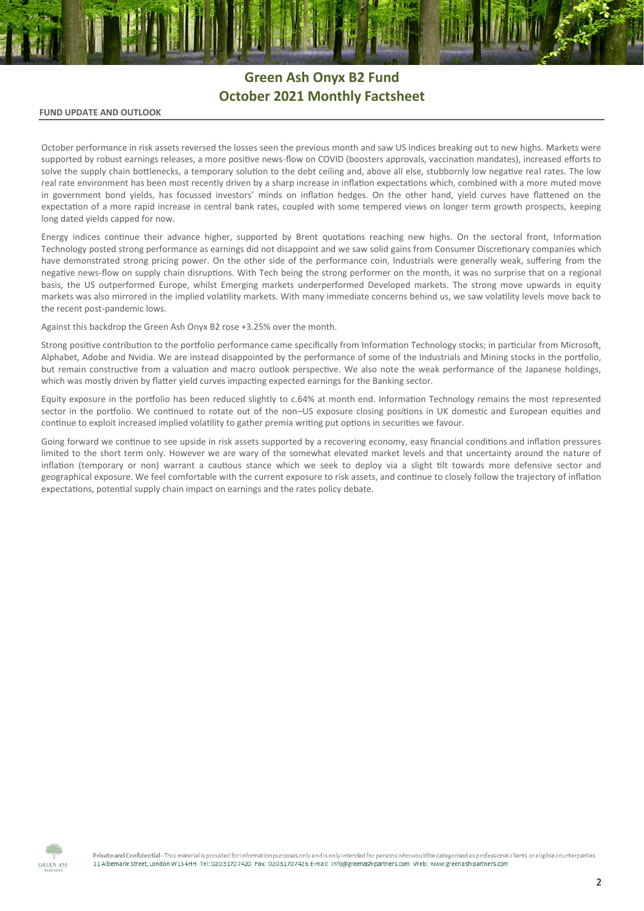# **Green Ash Onyx B2 Fund October 2021 Monthly Factsheet**

### **FUND UPDATE AND OUTLOOK**

October performance in risk assets reversed the losses seen the previous month and saw US indices breaking out to new highs. Markets were supported by robust earnings releases, a more positive news-flow on COVID (boosters approvals, vaccination mandates), increased efforts to solve the supply chain bottlenecks, a temporary solution to the debt ceiling and, above all else, stubbornly low negative real rates. The low real rate environment has been most recently driven by a sharp increase in inflation expectations which, combined with a more muted move in government bond yields, has focussed investors' minds on inflation hedges. On the other hand, yield curves have flattened on the expectation of a more rapid increase in central bank rates, coupled with some tempered views on longer term growth prospects, keeping long dated yields capped for now.

Energy indices continue their advance higher, supported by Brent quotations reaching new highs. On the sectoral front, Information Technology posted strong performance as earnings did not disappoint and we saw solid gains from Consumer Discretionary companies which have demonstrated strong pricing power. On the other side of the performance coin, Industrials were generally weak, suffering from the negative news-flow on supply chain disruptions. With Tech being the strong performer on the month, it was no surprise that on a regional basis, the US outperformed Europe, whilst Emerging markets underperformed Developed markets. The strong move upwards in equity markets was also mirrored in the implied volatility markets. With many immediate concerns behind us, we saw volatility levels move back to the recent post-pandemic lows.

Against this backdrop the Green Ash Onyx B2 rose +3.25% over the month.

Strong positive contribution to the portfolio performance came specifically from Information Technology stocks; in particular from Microsoft, Alphabet, Adobe and Nvidia. We are instead disappointed by the performance of some of the Industrials and Mining stocks in the portfolio, but remain constructive from a valuation and macro outlook perspective. We also note the weak performance of the Japanese holdings, which was mostly driven by flatter yield curves impacting expected earnings for the Banking sector.

Equity exposure in the portfolio has been reduced slightly to c.64% at month end. Information Technology remains the most represented sector in the portfolio. We continued to rotate out of the non–US exposure closing positions in UK domestic and European equities and continue to exploit increased implied volatility to gather premia writing put options in securities we favour.

Going forward we continue to see upside in risk assets supported by a recovering economy, easy financial conditions and inflation pressures limited to the short term only. However we are wary of the somewhat elevated market levels and that uncertainty around the nature of inflation (temporary or non) warrant a cautious stance which we seek to deploy via a slight tilt towards more defensive sector and geographical exposure. We feel comfortable with the current exposure to risk assets, and continue to closely follow the trajectory of inflation expectations, potential supply chain impact on earnings and the rates policy debate.



Private and Confidential - This material is provided for information purposes only and is only intended for persons who would be categorised as professional clients or eligible counterparties. 11 Albemark Street, London W154HH Tel: 020 3170 7420 Fax: 02031707426 E-mail: info@greenash-partners.com Web: www.greenash-partners.com